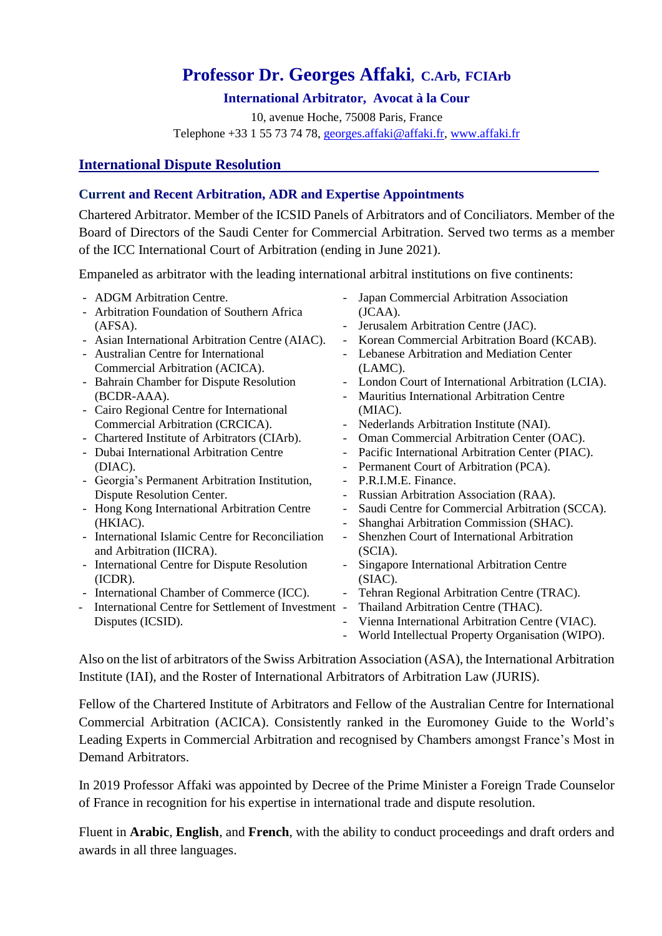# **Professor Dr. Georges Affaki, C.Arb, FCIArb**

## **International Arbitrator, Avocat à la Cour**

10, avenue Hoche, 75008 Paris, France Telephone +33 1 55 73 74 78, [georges.affaki@affaki.fr,](mailto:georges.affaki@affaki.fr) [www.affaki.fr](http://www.affaki.fr/)

# **International Dispute Resolution**

# **Current and Recent Arbitration, ADR and Expertise Appointments**

Chartered Arbitrator. Member of the ICSID Panels of Arbitrators and of Conciliators. Member of the Board of Directors of the Saudi Center for Commercial Arbitration. Served two terms as a member of the ICC International Court of Arbitration (ending in June 2021).

Empaneled as arbitrator with the leading international arbitral institutions on five continents:

- ADGM Arbitration Centre. - Arbitration Foundation of Southern Africa (AFSA). - Asian International Arbitration Centre (AIAC). - Australian Centre for International Commercial Arbitration (ACICA). - Bahrain Chamber for Dispute Resolution (BCDR-AAA). - Cairo Regional Centre for International Commercial Arbitration (CRCICA). - Chartered Institute of Arbitrators (CIArb). - Dubai International Arbitration Centre (DIAC). - Georgia's Permanent Arbitration Institution, Dispute Resolution Center. - Hong Kong International Arbitration Centre (HKIAC). - International Islamic Centre for Reconciliation and Arbitration (IICRA). - International Centre for Dispute Resolution (ICDR). - International Chamber of Commerce (ICC). - International Centre for Settlement of Investment - Thailand Arbitration Centre (THAC). Disputes (ICSID). - Japan Commercial Arbitration Association (JCAA). - Jerusalem Arbitration Centre (JAC). - Korean Commercial Arbitration Board (KCAB). - Lebanese Arbitration and Mediation Center (LAMC). - London Court of International Arbitration (LCIA). - Mauritius International Arbitration Centre (MIAC). - Nederlands Arbitration Institute (NAI). - Oman Commercial Arbitration Center (OAC). - Pacific International Arbitration Center (PIAC). - Permanent Court of Arbitration (PCA). - P.R.I.M.E. Finance. - Russian Arbitration Association (RAA). - Saudi Centre for Commercial Arbitration (SCCA). - Shanghai Arbitration Commission (SHAC). - Shenzhen Court of International Arbitration (SCIA). - Singapore International Arbitration Centre (SIAC). Tehran Regional Arbitration Centre (TRAC). - Vienna International Arbitration Centre (VIAC). - World Intellectual Property Organisation (WIPO).

Also on the list of arbitrators of the Swiss Arbitration Association (ASA), the International Arbitration Institute (IAI), and the Roster of International Arbitrators of Arbitration Law (JURIS).

Fellow of the Chartered Institute of Arbitrators and Fellow of the Australian Centre for International Commercial Arbitration (ACICA). Consistently ranked in the Euromoney Guide to the World's Leading Experts in Commercial Arbitration and recognised by Chambers amongst France's Most in Demand Arbitrators.

In 2019 Professor Affaki was appointed by Decree of the Prime Minister a Foreign Trade Counselor of France in recognition for his expertise in international trade and dispute resolution.

Fluent in **Arabic**, **English**, and **French**, with the ability to conduct proceedings and draft orders and awards in all three languages.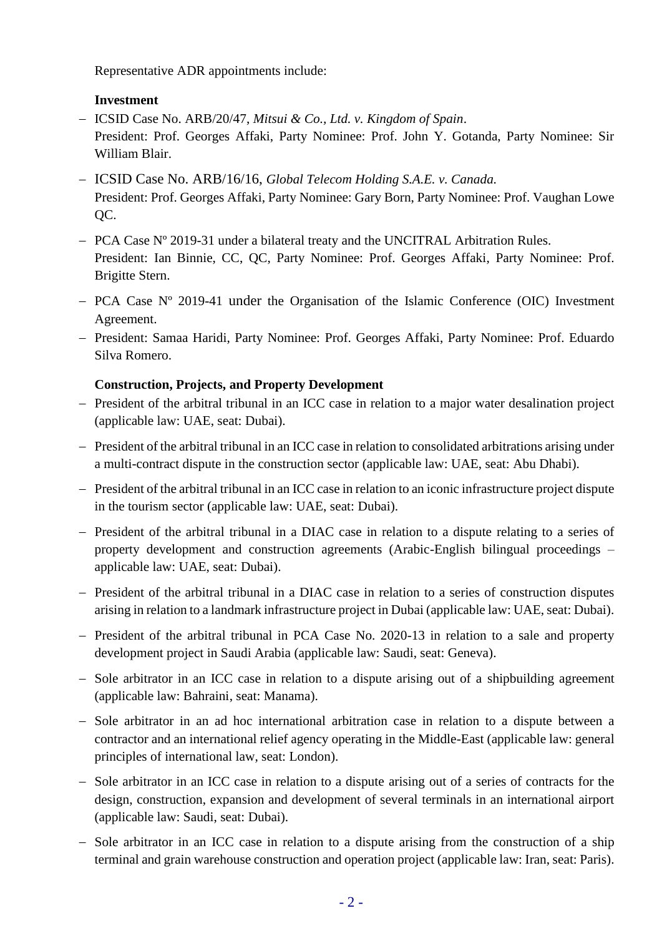Representative ADR appointments include:

## **Investment**

- − ICSID Case No. ARB/20/47, *Mitsui & Co., Ltd. v. Kingdom of Spain*. President: Prof. Georges Affaki, Party Nominee: Prof. John Y. Gotanda, Party Nominee: Sir William Blair.
- − ICSID Case No. ARB/16/16, *Global Telecom Holding S.A.E. v. Canada.* President: Prof. Georges Affaki, Party Nominee: Gary Born, Party Nominee: Prof. Vaughan Lowe QC.
- − PCA Case Nº 2019-31 under a bilateral treaty and the UNCITRAL Arbitration Rules. President: Ian Binnie, CC, QC, Party Nominee: Prof. Georges Affaki, Party Nominee: Prof. Brigitte Stern.
- − PCA Case Nº 2019-41 under the Organisation of the Islamic Conference (OIC) Investment Agreement.
- − President: Samaa Haridi, Party Nominee: Prof. Georges Affaki, Party Nominee: Prof. Eduardo Silva Romero.

# **Construction, Projects, and Property Development**

- − President of the arbitral tribunal in an ICC case in relation to a major water desalination project (applicable law: UAE, seat: Dubai).
- − President of the arbitral tribunal in an ICC case in relation to consolidated arbitrations arising under a multi-contract dispute in the construction sector (applicable law: UAE, seat: Abu Dhabi).
- − President of the arbitral tribunal in an ICC case in relation to an iconic infrastructure project dispute in the tourism sector (applicable law: UAE, seat: Dubai).
- − President of the arbitral tribunal in a DIAC case in relation to a dispute relating to a series of property development and construction agreements (Arabic-English bilingual proceedings – applicable law: UAE, seat: Dubai).
- − President of the arbitral tribunal in a DIAC case in relation to a series of construction disputes arising in relation to a landmark infrastructure project in Dubai (applicable law: UAE, seat: Dubai).
- − President of the arbitral tribunal in PCA Case No. 2020-13 in relation to a sale and property development project in Saudi Arabia (applicable law: Saudi, seat: Geneva).
- − Sole arbitrator in an ICC case in relation to a dispute arising out of a shipbuilding agreement (applicable law: Bahraini, seat: Manama).
- − Sole arbitrator in an ad hoc international arbitration case in relation to a dispute between a contractor and an international relief agency operating in the Middle-East (applicable law: general principles of international law, seat: London).
- − Sole arbitrator in an ICC case in relation to a dispute arising out of a series of contracts for the design, construction, expansion and development of several terminals in an international airport (applicable law: Saudi, seat: Dubai).
- − Sole arbitrator in an ICC case in relation to a dispute arising from the construction of a ship terminal and grain warehouse construction and operation project (applicable law: Iran, seat: Paris).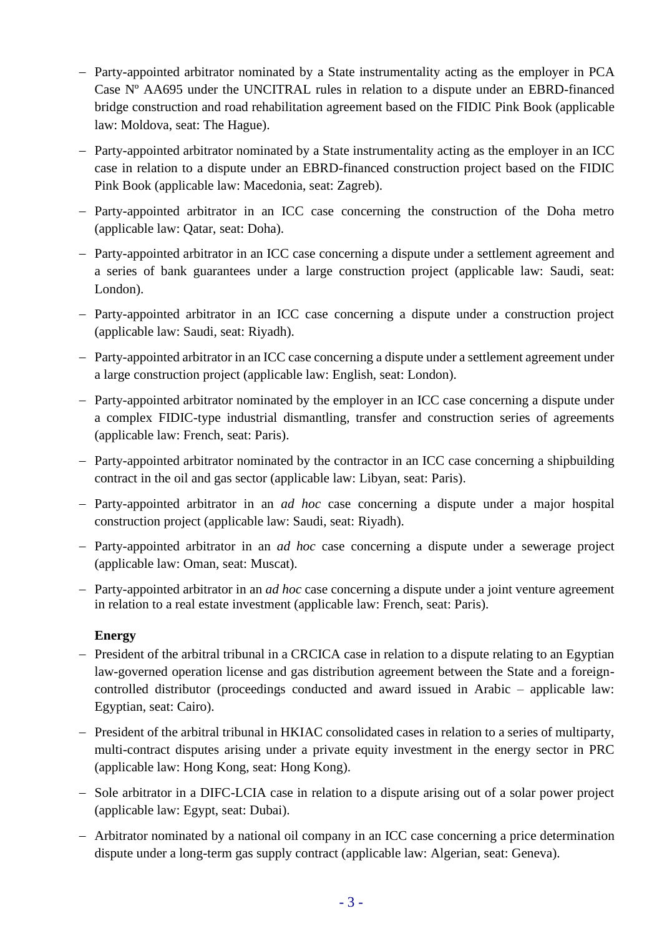- − Party-appointed arbitrator nominated by a State instrumentality acting as the employer in PCA Case Nº AA695 under the UNCITRAL rules in relation to a dispute under an EBRD-financed bridge construction and road rehabilitation agreement based on the FIDIC Pink Book (applicable law: Moldova, seat: The Hague).
- − Party-appointed arbitrator nominated by a State instrumentality acting as the employer in an ICC case in relation to a dispute under an EBRD-financed construction project based on the FIDIC Pink Book (applicable law: Macedonia, seat: Zagreb).
- − Party-appointed arbitrator in an ICC case concerning the construction of the Doha metro (applicable law: Qatar, seat: Doha).
- − Party-appointed arbitrator in an ICC case concerning a dispute under a settlement agreement and a series of bank guarantees under a large construction project (applicable law: Saudi, seat: London).
- − Party-appointed arbitrator in an ICC case concerning a dispute under a construction project (applicable law: Saudi, seat: Riyadh).
- − Party-appointed arbitrator in an ICC case concerning a dispute under a settlement agreement under a large construction project (applicable law: English, seat: London).
- − Party-appointed arbitrator nominated by the employer in an ICC case concerning a dispute under a complex FIDIC-type industrial dismantling, transfer and construction series of agreements (applicable law: French, seat: Paris).
- − Party-appointed arbitrator nominated by the contractor in an ICC case concerning a shipbuilding contract in the oil and gas sector (applicable law: Libyan, seat: Paris).
- − Party-appointed arbitrator in an *ad hoc* case concerning a dispute under a major hospital construction project (applicable law: Saudi, seat: Riyadh).
- − Party-appointed arbitrator in an *ad hoc* case concerning a dispute under a sewerage project (applicable law: Oman, seat: Muscat).
- − Party-appointed arbitrator in an *ad hoc* case concerning a dispute under a joint venture agreement in relation to a real estate investment (applicable law: French, seat: Paris).

## **Energy**

- − President of the arbitral tribunal in a CRCICA case in relation to a dispute relating to an Egyptian law-governed operation license and gas distribution agreement between the State and a foreigncontrolled distributor (proceedings conducted and award issued in Arabic – applicable law: Egyptian, seat: Cairo).
- − President of the arbitral tribunal in HKIAC consolidated cases in relation to a series of multiparty, multi-contract disputes arising under a private equity investment in the energy sector in PRC (applicable law: Hong Kong, seat: Hong Kong).
- − Sole arbitrator in a DIFC-LCIA case in relation to a dispute arising out of a solar power project (applicable law: Egypt, seat: Dubai).
- − Arbitrator nominated by a national oil company in an ICC case concerning a price determination dispute under a long-term gas supply contract (applicable law: Algerian, seat: Geneva).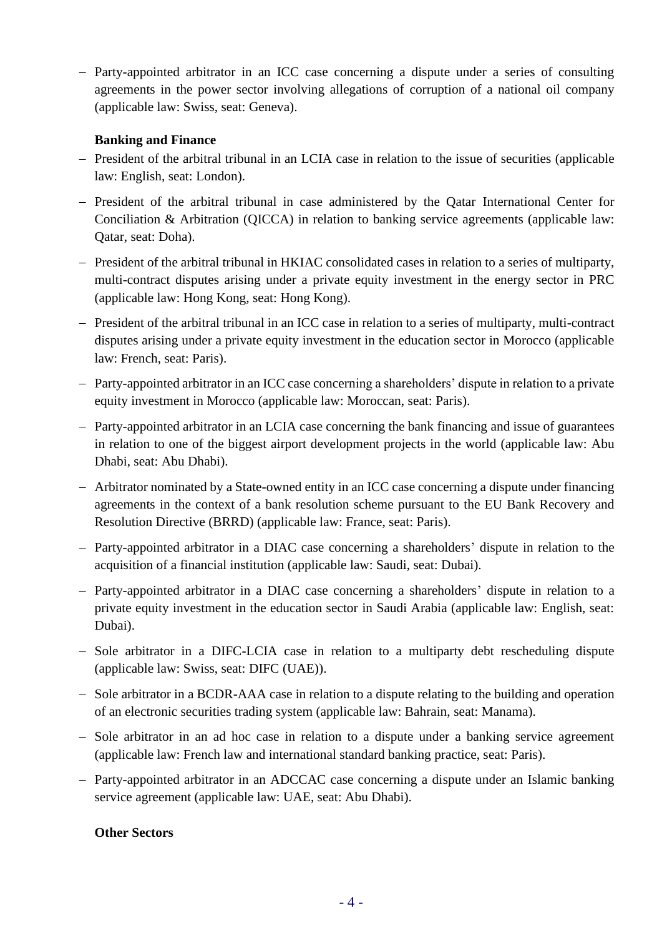− Party-appointed arbitrator in an ICC case concerning a dispute under a series of consulting agreements in the power sector involving allegations of corruption of a national oil company (applicable law: Swiss, seat: Geneva).

## **Banking and Finance**

- − President of the arbitral tribunal in an LCIA case in relation to the issue of securities (applicable law: English, seat: London).
- − President of the arbitral tribunal in case administered by the Qatar International Center for Conciliation & Arbitration (QICCA) in relation to banking service agreements (applicable law: Qatar, seat: Doha).
- − President of the arbitral tribunal in HKIAC consolidated cases in relation to a series of multiparty, multi-contract disputes arising under a private equity investment in the energy sector in PRC (applicable law: Hong Kong, seat: Hong Kong).
- − President of the arbitral tribunal in an ICC case in relation to a series of multiparty, multi-contract disputes arising under a private equity investment in the education sector in Morocco (applicable law: French, seat: Paris).
- − Party-appointed arbitrator in an ICC case concerning a shareholders' dispute in relation to a private equity investment in Morocco (applicable law: Moroccan, seat: Paris).
- − Party-appointed arbitrator in an LCIA case concerning the bank financing and issue of guarantees in relation to one of the biggest airport development projects in the world (applicable law: Abu Dhabi, seat: Abu Dhabi).
- − Arbitrator nominated by a State-owned entity in an ICC case concerning a dispute under financing agreements in the context of a bank resolution scheme pursuant to the EU Bank Recovery and Resolution Directive (BRRD) (applicable law: France, seat: Paris).
- − Party-appointed arbitrator in a DIAC case concerning a shareholders' dispute in relation to the acquisition of a financial institution (applicable law: Saudi, seat: Dubai).
- − Party-appointed arbitrator in a DIAC case concerning a shareholders' dispute in relation to a private equity investment in the education sector in Saudi Arabia (applicable law: English, seat: Dubai).
- − Sole arbitrator in a DIFC-LCIA case in relation to a multiparty debt rescheduling dispute (applicable law: Swiss, seat: DIFC (UAE)).
- − Sole arbitrator in a BCDR-AAA case in relation to a dispute relating to the building and operation of an electronic securities trading system (applicable law: Bahrain, seat: Manama).
- − Sole arbitrator in an ad hoc case in relation to a dispute under a banking service agreement (applicable law: French law and international standard banking practice, seat: Paris).
- − Party-appointed arbitrator in an ADCCAC case concerning a dispute under an Islamic banking service agreement (applicable law: UAE, seat: Abu Dhabi).

## **Other Sectors**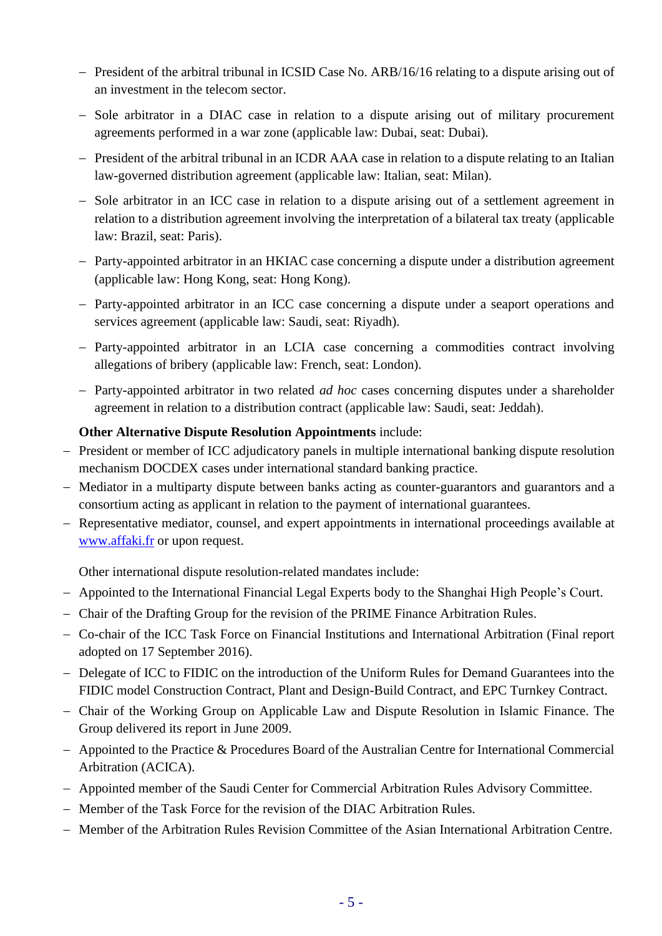- − President of the arbitral tribunal in ICSID Case No. ARB/16/16 relating to a dispute arising out of an investment in the telecom sector.
- − Sole arbitrator in a DIAC case in relation to a dispute arising out of military procurement agreements performed in a war zone (applicable law: Dubai, seat: Dubai).
- − President of the arbitral tribunal in an ICDR AAA case in relation to a dispute relating to an Italian law-governed distribution agreement (applicable law: Italian, seat: Milan).
- − Sole arbitrator in an ICC case in relation to a dispute arising out of a settlement agreement in relation to a distribution agreement involving the interpretation of a bilateral tax treaty (applicable law: Brazil, seat: Paris).
- − Party-appointed arbitrator in an HKIAC case concerning a dispute under a distribution agreement (applicable law: Hong Kong, seat: Hong Kong).
- − Party-appointed arbitrator in an ICC case concerning a dispute under a seaport operations and services agreement (applicable law: Saudi, seat: Riyadh).
- − Party-appointed arbitrator in an LCIA case concerning a commodities contract involving allegations of bribery (applicable law: French, seat: London).
- − Party-appointed arbitrator in two related *ad hoc* cases concerning disputes under a shareholder agreement in relation to a distribution contract (applicable law: Saudi, seat: Jeddah).

## **Other Alternative Dispute Resolution Appointments** include:

- − President or member of ICC adjudicatory panels in multiple international banking dispute resolution mechanism DOCDEX cases under international standard banking practice.
- − Mediator in a multiparty dispute between banks acting as counter-guarantors and guarantors and a consortium acting as applicant in relation to the payment of international guarantees.
- − Representative mediator, counsel, and expert appointments in international proceedings available at [www.affaki.fr](http://www.affaki.fr/) or upon request.

Other international dispute resolution-related mandates include:

- − Appointed to the International Financial Legal Experts body to the Shanghai High People's Court.
- − Chair of the Drafting Group for the revision of the PRIME Finance Arbitration Rules.
- − Co-chair of the ICC Task Force on Financial Institutions and International Arbitration (Final report adopted on 17 September 2016).
- − Delegate of ICC to FIDIC on the introduction of the Uniform Rules for Demand Guarantees into the FIDIC model Construction Contract, Plant and Design-Build Contract, and EPC Turnkey Contract.
- − Chair of the Working Group on Applicable Law and Dispute Resolution in Islamic Finance. The Group delivered its report in June 2009.
- − Appointed to the Practice & Procedures Board of the Australian Centre for International Commercial Arbitration (ACICA).
- − Appointed member of the Saudi Center for Commercial Arbitration Rules Advisory Committee.
- − Member of the Task Force for the revision of the DIAC Arbitration Rules.
- − Member of the Arbitration Rules Revision Committee of the Asian International Arbitration Centre.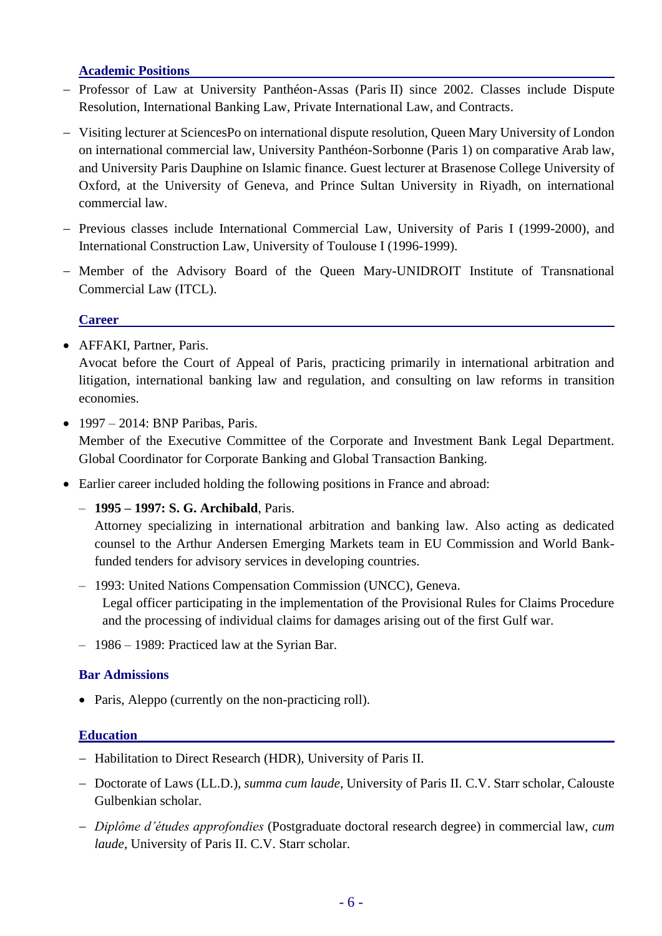## **Academic Positions**

- − Professor of Law at University Panthéon-Assas (Paris II) since 2002. Classes include Dispute Resolution, International Banking Law, Private International Law, and Contracts.
- − Visiting lecturer at SciencesPo on international dispute resolution, Queen Mary University of London on international commercial law, University Panthéon-Sorbonne (Paris 1) on comparative Arab law, and University Paris Dauphine on Islamic finance. Guest lecturer at Brasenose College University of Oxford, at the University of Geneva, and Prince Sultan University in Riyadh, on international commercial law.
- − Previous classes include International Commercial Law, University of Paris I (1999-2000), and International Construction Law, University of Toulouse I (1996-1999).
- − Member of the Advisory Board of the Queen Mary-UNIDROIT Institute of Transnational Commercial Law (ITCL).

## **Career**

• AFFAKI, Partner, Paris.

Avocat before the Court of Appeal of Paris, practicing primarily in international arbitration and litigation, international banking law and regulation, and consulting on law reforms in transition economies.

 $\bullet$  1997 – 2014: BNP Paribas, Paris.

Member of the Executive Committee of the Corporate and Investment Bank Legal Department. Global Coordinator for Corporate Banking and Global Transaction Banking.

- Earlier career included holding the following positions in France and abroad:
	- **1995 – 1997: S. G. Archibald**, Paris.

Attorney specializing in international arbitration and banking law. Also acting as dedicated counsel to the Arthur Andersen Emerging Markets team in EU Commission and World Bankfunded tenders for advisory services in developing countries.

- 1993: United Nations Compensation Commission (UNCC), Geneva. Legal officer participating in the implementation of the Provisional Rules for Claims Procedure and the processing of individual claims for damages arising out of the first Gulf war.
- 1986 1989: Practiced law at the Syrian Bar.

## **Bar Admissions**

• Paris, Aleppo (currently on the non-practicing roll).

## **Education**

- − Habilitation to Direct Research (HDR), University of Paris II.
- − Doctorate of Laws (LL.D.), *summa cum laude*, University of Paris II. C.V. Starr scholar, Calouste Gulbenkian scholar.
- − *Diplôme d'études approfondies* (Postgraduate doctoral research degree) in commercial law, *cum laude*, University of Paris II. C.V. Starr scholar.